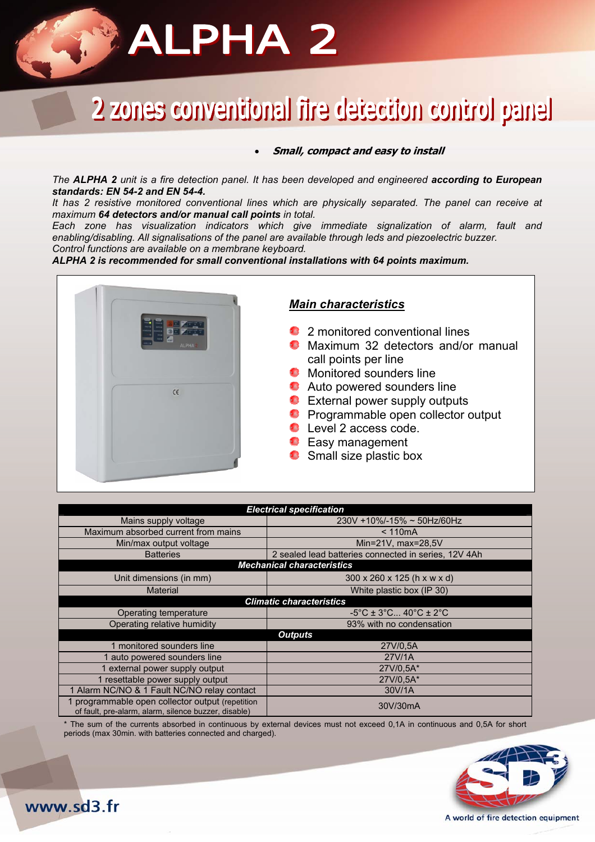## **ALPHA 2**

### lenes conventional fire detection control panel

#### • **Small, compact and easy to install**

*The ALPHA 2 unit is a fire detection panel. It has been developed and engineered according to European standards: EN 54-2 and EN 54-4.* 

*It has 2 resistive monitored conventional lines which are physically separated. The panel can receive at maximum 64 detectors and/or manual call points in total.* 

*Each zone has visualization indicators which give immediate signalization of alarm, fault and enabling/disabling. All signalisations of the panel are available through leds and piezoelectric buzzer. Control functions are available on a membrane keyboard.* 

*ALPHA 2 is recommended for small conventional installations with 64 points maximum.* 



### *Main characteristics*

- <sup>2</sup> 2 monitored conventional lines
- **C** Maximum 32 detectors and/or manual call points per line
- **Monitored sounders line**
- **Auto powered sounders line**
- **External power supply outputs**
- **P** Programmable open collector output
- **Level 2 access code.**
- **E** Easy management
- **Small size plastic box**

| <b>Electrical specification</b>                                                                        |                                                                  |
|--------------------------------------------------------------------------------------------------------|------------------------------------------------------------------|
| Mains supply voltage                                                                                   | 230V +10%/-15% ~ 50Hz/60Hz                                       |
| Maximum absorbed current from mains                                                                    | < 110mA                                                          |
| Min/max output voltage                                                                                 | Min=21V, max=28,5V                                               |
| <b>Batteries</b>                                                                                       | 2 sealed lead batteries connected in series, 12V 4Ah             |
| <b>Mechanical characteristics</b>                                                                      |                                                                  |
| Unit dimensions (in mm)                                                                                | 300 x 260 x 125 (h x w x d)                                      |
| <b>Material</b>                                                                                        | White plastic box (IP 30)                                        |
| <b>Climatic characteristics</b>                                                                        |                                                                  |
| Operating temperature                                                                                  | $-5^{\circ}$ C ± 3 $^{\circ}$ C 40 $^{\circ}$ C ± 2 $^{\circ}$ C |
| Operating relative humidity                                                                            | 93% with no condensation                                         |
| <b>Outputs</b>                                                                                         |                                                                  |
| 1 monitored sounders line                                                                              | 27V/0.5A                                                         |
| 1 auto powered sounders line                                                                           | 27V/1A                                                           |
| 1 external power supply output                                                                         | 27V/0.5A*                                                        |
| 1 resettable power supply output                                                                       | 27V/0.5A*                                                        |
| 1 Alarm NC/NO & 1 Fault NC/NO relay contact                                                            | 30V/1A                                                           |
| programmable open collector output (repetition<br>of fault, pre-alarm, alarm, silence buzzer, disable) | 30V/30mA                                                         |

The sum of the currents absorbed in continuous by external devices must not exceed 0,1A in continuous and 0,5A for short periods (max 30min. with batteries connected and charged).



www.sd3.fr